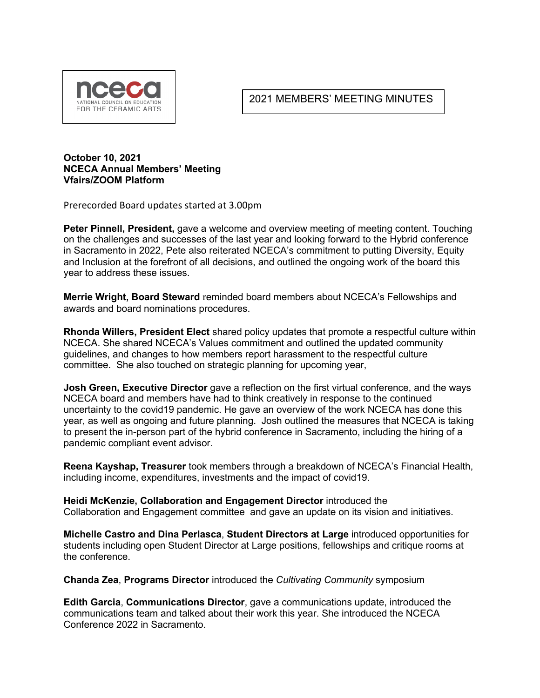

2021 MEMBERS' MEETING MINUTES

## **October 10, 2021 NCECA Annual Members' Meeting Vfairs/ZOOM Platform**

Prerecorded Board updates started at 3.00pm

**Peter Pinnell, President,** gave a welcome and overview meeting of meeting content. Touching on the challenges and successes of the last year and looking forward to the Hybrid conference in Sacramento in 2022, Pete also reiterated NCECA's commitment to putting Diversity, Equity and Inclusion at the forefront of all decisions, and outlined the ongoing work of the board this year to address these issues.

**Merrie Wright, Board Steward** reminded board members about NCECA's Fellowships and awards and board nominations procedures.

**Rhonda Willers, President Elect** shared policy updates that promote a respectful culture within NCECA. She shared NCECA's Values commitment and outlined the updated community guidelines, and changes to how members report harassment to the respectful culture committee. She also touched on strategic planning for upcoming year,

**Josh Green, Executive Director** gave a reflection on the first virtual conference, and the ways NCECA board and members have had to think creatively in response to the continued uncertainty to the covid19 pandemic. He gave an overview of the work NCECA has done this year, as well as ongoing and future planning. Josh outlined the measures that NCECA is taking to present the in-person part of the hybrid conference in Sacramento, including the hiring of a pandemic compliant event advisor.

**Reena Kayshap, Treasurer** took members through a breakdown of NCECA's Financial Health, including income, expenditures, investments and the impact of covid19.

**Heidi McKenzie, Collaboration and Engagement Director** introduced the Collaboration and Engagement committee and gave an update on its vision and initiatives.

**Michelle Castro and Dina Perlasca**, **Student Directors at Large** introduced opportunities for students including open Student Director at Large positions, fellowships and critique rooms at the conference.

**Chanda Zea**, **Programs Director** introduced the *Cultivating Community* symposium

**Edith Garcia**, **Communications Director**, gave a communications update, introduced the communications team and talked about their work this year. She introduced the NCECA Conference 2022 in Sacramento.